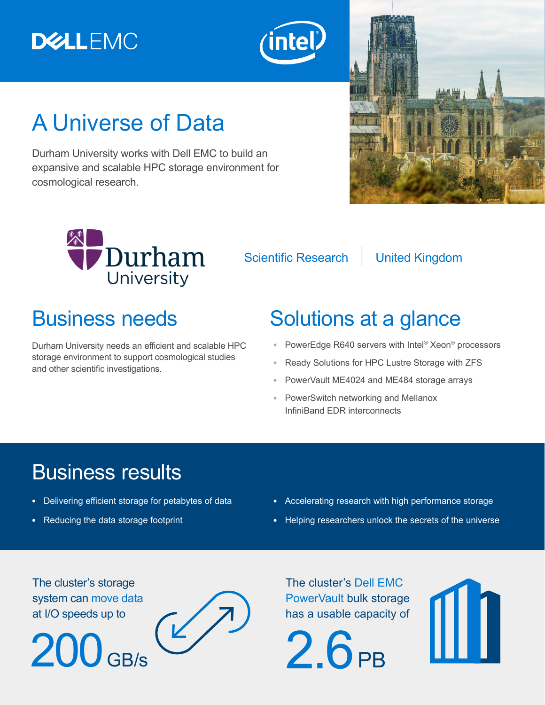# **DELLEMC**



# A Universe of Data

Durham University works with Dell EMC to build an expansive and scalable HPC storage environment for cosmological research.



Scientific Research | United Kingdom

Durham University needs an efficient and scalable HPC storage environment to support cosmological studies and other scientific investigations.

## Business needs Solutions at a glance

- **•** PowerEdge R640 servers with Intel® Xeon® processors
- **•** Ready Solutions for HPC Lustre Storage with ZFS
- **•** PowerVault ME4024 and ME484 storage arrays
- **•** PowerSwitch networking and Mellanox InfiniBand EDR interconnects

## Business results

- **•** Delivering efficient storage for petabytes of data
- **•** Reducing the data storage footprint
- **•** Accelerating research with high performance storage
- **•** Helping researchers unlock the secrets of the universe

The cluster's storage system can move data at I/O speeds up to

 $200<sub>GB/s</sub>$ 



The cluster's Dell EMC PowerVault bulk storage has a usable capacity of

 $2.6<sub>PR</sub>$ 

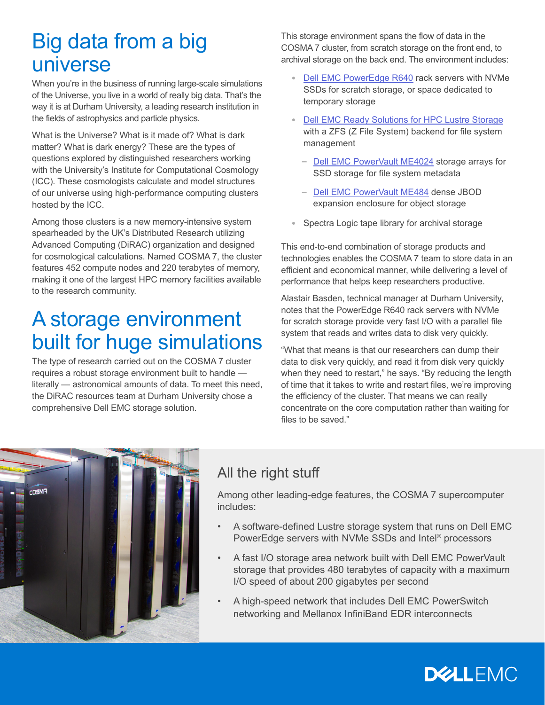## Big data from a big universe

When you're in the business of running large-scale simulations of the Universe, you live in a world of really big data. That's the way it is at Durham University, a leading research institution in the fields of astrophysics and particle physics.

What is the Universe? What is it made of? What is dark matter? What is dark energy? These are the types of questions explored by distinguished researchers working with the University's Institute for Computational Cosmology (ICC). These cosmologists calculate and model structures of our universe using high-performance computing clusters hosted by the ICC.

Among those clusters is a new memory-intensive system spearheaded by the UK's Distributed Research utilizing Advanced Computing (DiRAC) organization and designed for cosmological calculations. Named COSMA 7, the cluster features 452 compute nodes and 220 terabytes of memory, making it one of the largest HPC memory facilities available to the research community.

### A storage environment built for huge simulations

The type of research carried out on the COSMA 7 cluster requires a robust storage environment built to handle literally — astronomical amounts of data. To meet this need, the DiRAC resources team at Durham University chose a comprehensive Dell EMC storage solution.

This storage environment spans the flow of data in the COSMA 7 cluster, from scratch storage on the front end, to archival storage on the back end. The environment includes:

- **•** [Dell EMC PowerEdge R640](https://www.dell.com/en-us/work/shop/povw/poweredge-r640) rack servers with NVMe SSDs for scratch storage, or space dedicated to temporary storage
- **•** [Dell EMC Ready Solutions for HPC Lustre Storage](https://www.dellemc.com/en-us/collaterals/unauth/white-papers/products/ready-solutions/Ready_Bundles_for_HPC_Storage-Solution_Overview.PDF) with a ZFS (Z File System) backend for file system management
	- **–** [Dell EMC PowerVault ME4024](https://www.dellemc.com/en-us/storage/powervaultme4.htm) storage arrays for SSD storage for file system metadata
	- **–** [Dell EMC PowerVault ME484](https://www.dell.com/en-us/work/shop/povw/powervault-me484-pe) dense JBOD expansion enclosure for object storage
- **•** Spectra Logic tape library for archival storage

This end-to-end combination of storage products and technologies enables the COSMA 7 team to store data in an efficient and economical manner, while delivering a level of performance that helps keep researchers productive.

Alastair Basden, technical manager at Durham University, notes that the PowerEdge R640 rack servers with NVMe for scratch storage provide very fast I/O with a parallel file system that reads and writes data to disk very quickly.

"What that means is that our researchers can dump their data to disk very quickly, and read it from disk very quickly when they need to restart," he says. "By reducing the length of time that it takes to write and restart files, we're improving the efficiency of the cluster. That means we can really concentrate on the core computation rather than waiting for files to be saved."



#### All the right stuff

Among other leading-edge features, the COSMA 7 supercomputer includes:

- A software-defined Lustre storage system that runs on Dell EMC PowerEdge servers with NVMe SSDs and Intel® processors
- A fast I/O storage area network built with Dell EMC PowerVault storage that provides 480 terabytes of capacity with a maximum I/O speed of about 200 gigabytes per second
- A high-speed network that includes Dell EMC PowerSwitch networking and Mellanox InfiniBand EDR interconnects